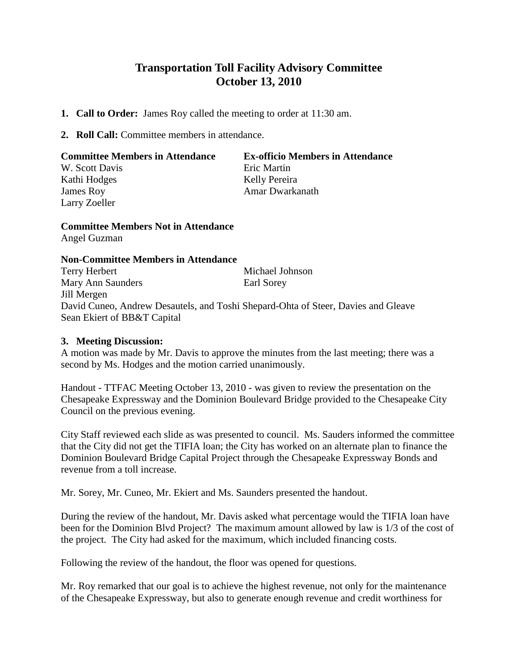## **Transportation Toll Facility Advisory Committee October 13, 2010**

- **1. Call to Order:** James Roy called the meeting to order at 11:30 am.
- **2. Roll Call:** Committee members in attendance.

| <b>Committee Members in Attendance</b> | <b>Ex-officio Members in Attendance</b> |
|----------------------------------------|-----------------------------------------|
| W. Scott Davis                         | Eric Martin                             |
| Kathi Hodges                           | Kelly Pereira                           |
| James Roy                              | Amar Dwarkanath                         |
| Larry Zoeller                          |                                         |

## **Committee Members Not in Attendance** Angel Guzman

## **Non-Committee Members in Attendance**

Terry Herbert Michael Johnson Mary Ann Saunders Earl Sorey Jill Mergen David Cuneo, Andrew Desautels, and Toshi Shepard-Ohta of Steer, Davies and Gleave Sean Ekiert of BB&T Capital

## **3. Meeting Discussion:**

A motion was made by Mr. Davis to approve the minutes from the last meeting; there was a second by Ms. Hodges and the motion carried unanimously.

Handout - TTFAC Meeting October 13, 2010 - was given to review the presentation on the Chesapeake Expressway and the Dominion Boulevard Bridge provided to the Chesapeake City Council on the previous evening.

City Staff reviewed each slide as was presented to council. Ms. Sauders informed the committee that the City did not get the TIFIA loan; the City has worked on an alternate plan to finance the Dominion Boulevard Bridge Capital Project through the Chesapeake Expressway Bonds and revenue from a toll increase.

Mr. Sorey, Mr. Cuneo, Mr. Ekiert and Ms. Saunders presented the handout.

During the review of the handout, Mr. Davis asked what percentage would the TIFIA loan have been for the Dominion Blvd Project? The maximum amount allowed by law is 1/3 of the cost of the project. The City had asked for the maximum, which included financing costs.

Following the review of the handout, the floor was opened for questions.

Mr. Roy remarked that our goal is to achieve the highest revenue, not only for the maintenance of the Chesapeake Expressway, but also to generate enough revenue and credit worthiness for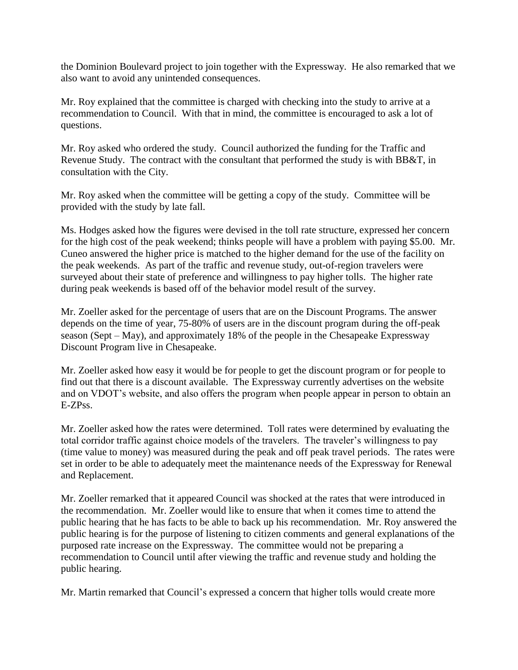the Dominion Boulevard project to join together with the Expressway. He also remarked that we also want to avoid any unintended consequences.

Mr. Roy explained that the committee is charged with checking into the study to arrive at a recommendation to Council. With that in mind, the committee is encouraged to ask a lot of questions.

Mr. Roy asked who ordered the study. Council authorized the funding for the Traffic and Revenue Study. The contract with the consultant that performed the study is with BB&T, in consultation with the City.

Mr. Roy asked when the committee will be getting a copy of the study. Committee will be provided with the study by late fall.

Ms. Hodges asked how the figures were devised in the toll rate structure, expressed her concern for the high cost of the peak weekend; thinks people will have a problem with paying \$5.00. Mr. Cuneo answered the higher price is matched to the higher demand for the use of the facility on the peak weekends. As part of the traffic and revenue study, out-of-region travelers were surveyed about their state of preference and willingness to pay higher tolls. The higher rate during peak weekends is based off of the behavior model result of the survey.

Mr. Zoeller asked for the percentage of users that are on the Discount Programs. The answer depends on the time of year, 75-80% of users are in the discount program during the off-peak season (Sept – May), and approximately 18% of the people in the Chesapeake Expressway Discount Program live in Chesapeake.

Mr. Zoeller asked how easy it would be for people to get the discount program or for people to find out that there is a discount available. The Expressway currently advertises on the website and on VDOT's website, and also offers the program when people appear in person to obtain an E-ZPss.

Mr. Zoeller asked how the rates were determined. Toll rates were determined by evaluating the total corridor traffic against choice models of the travelers. The traveler's willingness to pay (time value to money) was measured during the peak and off peak travel periods. The rates were set in order to be able to adequately meet the maintenance needs of the Expressway for Renewal and Replacement.

Mr. Zoeller remarked that it appeared Council was shocked at the rates that were introduced in the recommendation. Mr. Zoeller would like to ensure that when it comes time to attend the public hearing that he has facts to be able to back up his recommendation. Mr. Roy answered the public hearing is for the purpose of listening to citizen comments and general explanations of the purposed rate increase on the Expressway. The committee would not be preparing a recommendation to Council until after viewing the traffic and revenue study and holding the public hearing.

Mr. Martin remarked that Council's expressed a concern that higher tolls would create more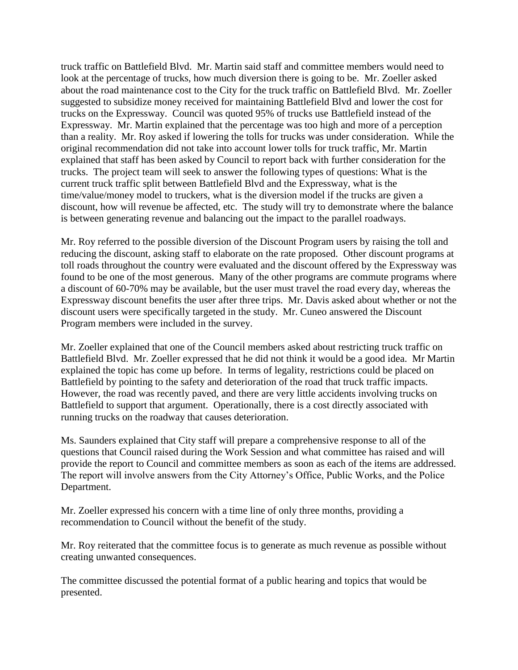truck traffic on Battlefield Blvd. Mr. Martin said staff and committee members would need to look at the percentage of trucks, how much diversion there is going to be. Mr. Zoeller asked about the road maintenance cost to the City for the truck traffic on Battlefield Blvd. Mr. Zoeller suggested to subsidize money received for maintaining Battlefield Blvd and lower the cost for trucks on the Expressway. Council was quoted 95% of trucks use Battlefield instead of the Expressway. Mr. Martin explained that the percentage was too high and more of a perception than a reality. Mr. Roy asked if lowering the tolls for trucks was under consideration. While the original recommendation did not take into account lower tolls for truck traffic, Mr. Martin explained that staff has been asked by Council to report back with further consideration for the trucks. The project team will seek to answer the following types of questions: What is the current truck traffic split between Battlefield Blvd and the Expressway, what is the time/value/money model to truckers, what is the diversion model if the trucks are given a discount, how will revenue be affected, etc. The study will try to demonstrate where the balance is between generating revenue and balancing out the impact to the parallel roadways.

Mr. Roy referred to the possible diversion of the Discount Program users by raising the toll and reducing the discount, asking staff to elaborate on the rate proposed. Other discount programs at toll roads throughout the country were evaluated and the discount offered by the Expressway was found to be one of the most generous. Many of the other programs are commute programs where a discount of 60-70% may be available, but the user must travel the road every day, whereas the Expressway discount benefits the user after three trips. Mr. Davis asked about whether or not the discount users were specifically targeted in the study. Mr. Cuneo answered the Discount Program members were included in the survey.

Mr. Zoeller explained that one of the Council members asked about restricting truck traffic on Battlefield Blvd. Mr. Zoeller expressed that he did not think it would be a good idea. Mr Martin explained the topic has come up before. In terms of legality, restrictions could be placed on Battlefield by pointing to the safety and deterioration of the road that truck traffic impacts. However, the road was recently paved, and there are very little accidents involving trucks on Battlefield to support that argument. Operationally, there is a cost directly associated with running trucks on the roadway that causes deterioration.

Ms. Saunders explained that City staff will prepare a comprehensive response to all of the questions that Council raised during the Work Session and what committee has raised and will provide the report to Council and committee members as soon as each of the items are addressed. The report will involve answers from the City Attorney's Office, Public Works, and the Police Department.

Mr. Zoeller expressed his concern with a time line of only three months, providing a recommendation to Council without the benefit of the study.

Mr. Roy reiterated that the committee focus is to generate as much revenue as possible without creating unwanted consequences.

The committee discussed the potential format of a public hearing and topics that would be presented.